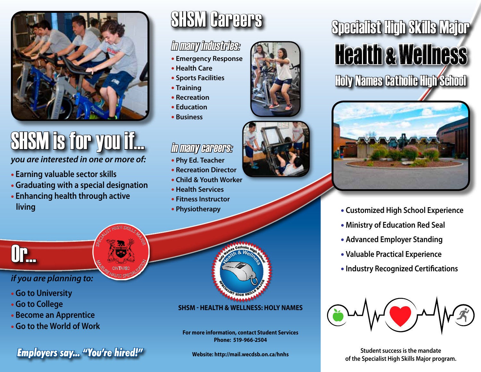

# SHSM is for you if...

*you are interested in one or more of:* 

- **Earning valuable sector skills**
- **Graduating with a special designation**

SPECIALIST HIGH SKILLS MAJOR

**M<sub>ALITES</sub> CONTARIO SPICE ONTARIO** 

• **Enhancing health through active living**

# SHSM Careers

### in many industries:

- **Emergency Response**
- **Health Care**
- **Sports Facilities**
- **Training**
- **Recreation**
- **Education**
- **Business**

#### in many careers:

- **Phy Ed. Teacher**
- **Recreation Director**
- **Child & Youth Worker**
- **Health Services**
- **Fitness Instructor**
- **Physiotherapy**

Or...

#### *if you are planning to:*

- **Go to University**
- **Go to College**
- **Become an Apprentice**
- **Go to the World of Work**

**of the Specialist High Skills Major program. Configuration Student success is the mandate**<br> **of the Specialist High Skills Major program.** *Program* 

## **SHSM - Health & Wellness: Holy Names**

**For more information, contact Student Services Phone: 519-966-2504**

**Website: http://mail.wecdsb.on.ca/hnhs**





- **Customized High School Experience**
- **Ministry of Education Red Seal**
- **Advanced Employer Standing**
- **Valuable Practical Experience**
- **Industry Recognized Certifications**



**Student success is the mandate**